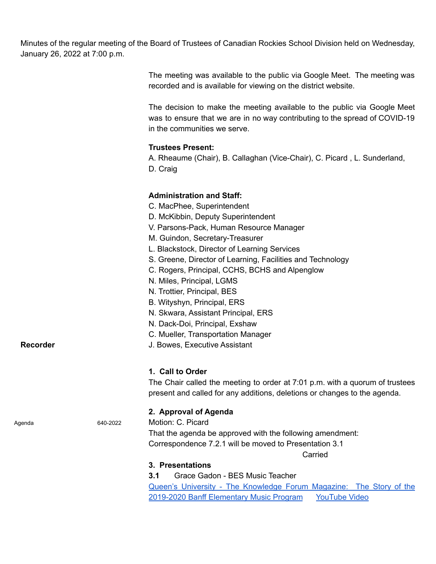Minutes of the regular meeting of the Board of Trustees of Canadian Rockies School Division held on Wednesday, January 26, 2022 at 7:00 p.m.

> The meeting was available to the public via Google Meet. The meeting was recorded and is available for viewing on the district website.

> The decision to make the meeting available to the public via Google Meet was to ensure that we are in no way contributing to the spread of COVID-19 in the communities we serve.

### **Trustees Present:**

A. Rheaume (Chair), B. Callaghan (Vice-Chair), C. Picard , L. Sunderland, D. Craig

## **Administration and Staff:**

- C. MacPhee, Superintendent
- D. McKibbin, Deputy Superintendent
- V. Parsons-Pack, Human Resource Manager
- M. Guindon, Secretary-Treasurer
- L. Blackstock, Director of Learning Services
- S. Greene, Director of Learning, Facilities and Technology
- C. Rogers, Principal, CCHS, BCHS and Alpenglow
- N. Miles, Principal, LGMS
- N. Trottier, Principal, BES
- B. Wityshyn, Principal, ERS
- N. Skwara, Assistant Principal, ERS
- N. Dack-Doi, Principal, Exshaw
- C. Mueller, Transportation Manager
- **Recorder Recorder** J. Bowes, Executive Assistant

#### **1. Call to Order**

The Chair called the meeting to order at 7:01 p.m. with a quorum of trustees present and called for any additions, deletions or changes to the agenda.

### **2. Approval of Agenda**

Agenda 640-2022 Motion: C. Picard

That the agenda be approved with the following amendment: Correspondence 7.2.1 will be moved to Presentation 3.1

Carried

#### **3. Presentations**

**3.1** Grace Gadon - BES Music Teacher Queen's University - The [Knowledge](https://drive.google.com/file/d/1OVVNAirg6CkOtXS1P2sJSWGfnBYbos37/view?usp=sharing) Forum Magazine: The Story of the 2019-2020 Banff [Elementary](https://drive.google.com/file/d/1OVVNAirg6CkOtXS1P2sJSWGfnBYbos37/view?usp=sharing) Music Program [YouTube](https://youtu.be/fA6uZOnqsFc) Video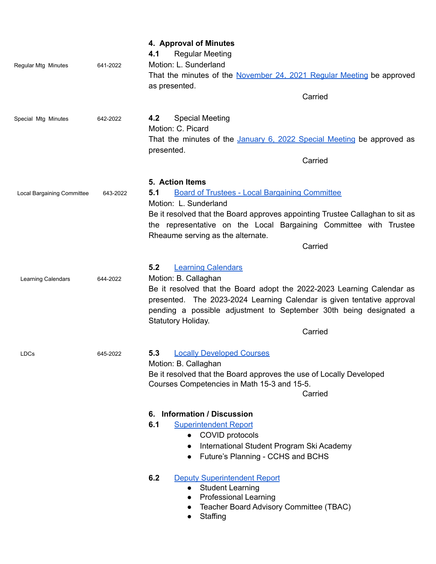| Regular Mtg Minutes        | 641-2022 | 4. Approval of Minutes<br>4.1<br><b>Regular Meeting</b><br>Motion: L. Sunderland<br>That the minutes of the November 24, 2021 Regular Meeting be approved<br>as presented.<br>Carried                                                                                                                               |  |
|----------------------------|----------|---------------------------------------------------------------------------------------------------------------------------------------------------------------------------------------------------------------------------------------------------------------------------------------------------------------------|--|
| Special Mtg Minutes        | 642-2022 | <b>Special Meeting</b><br>4.2<br>Motion: C. Picard<br>That the minutes of the January 6, 2022 Special Meeting be approved as<br>presented.<br>Carried                                                                                                                                                               |  |
| Local Bargaining Committee | 643-2022 | 5. Action Items<br><b>Board of Trustees - Local Bargaining Committee</b><br>5.1<br>Motion: L. Sunderland<br>Be it resolved that the Board approves appointing Trustee Callaghan to sit as<br>the representative on the Local Bargaining Committee with Trustee<br>Rheaume serving as the alternate.<br>Carried      |  |
| Learning Calendars         | 644-2022 | 5.2<br><b>Learning Calendars</b><br>Motion: B. Callaghan<br>Be it resolved that the Board adopt the 2022-2023 Learning Calendar as<br>presented. The 2023-2024 Learning Calendar is given tentative approval<br>pending a possible adjustment to September 30th being designated a<br>Statutory Holiday.<br>Carried |  |
| LDCs                       | 645-2022 | <b>Locally Developed Courses</b><br>5.3<br>Motion: B. Callaghan<br>Be it resolved that the Board approves the use of Locally Developed<br>Courses Competencies in Math 15-3 and 15-5.<br>Carried                                                                                                                    |  |
|                            |          | <b>Information / Discussion</b><br>6.<br>6.1<br><b>Superintendent Report</b><br>• COVID protocols<br>International Student Program Ski Academy<br>Future's Planning - CCHS and BCHS<br>$\bullet$                                                                                                                    |  |
|                            |          | 6.2<br><b>Deputy Superintendent Report</b><br><b>Student Learning</b><br>$\bullet$<br><b>Professional Learning</b><br>$\bullet$<br>Teacher Board Advisory Committee (TBAC)<br>Staffing<br>$\bullet$                                                                                                                 |  |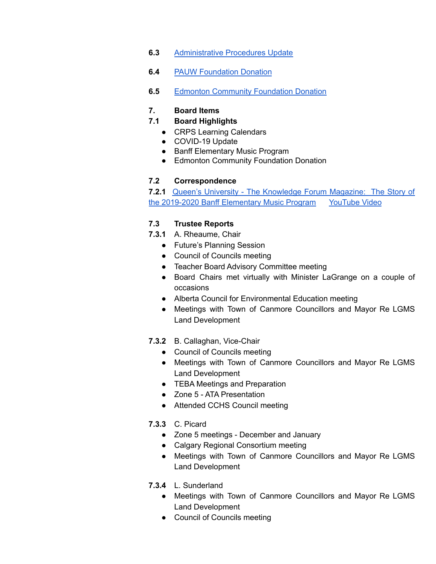- **6.3** [Administrative](https://drive.google.com/file/d/1UbEy59xCwvxAIM3p5EAaYf3mB769elx9/view?usp=sharing) Procedures Update
- **6.4** PAUW [Foundation](https://drive.google.com/file/d/1UdbpI3CTxH5EGyLHg3PqIBKe1Us_PIzw/view?usp=sharing) Donation
- **6.5** Edmonton [Community](https://drive.google.com/file/d/1UckIiR2y35r6A2W-k_T7V0w0T7CApOkq/view?usp=sharing) Foundation Donation

# **7. Board Items**

## **7.1 Board Highlights**

- CRPS Learning Calendars
- COVID-19 Update
- Banff Elementary Music Program
- Edmonton Community Foundation Donation

## **7.2 Correspondence**

**7.2.1** Queen's University - The [Knowledge](https://drive.google.com/file/d/1OVVNAirg6CkOtXS1P2sJSWGfnBYbos37/view?usp=sharing) Forum Magazine: The Story of the 2019-2020 Banff [Elementary](https://drive.google.com/file/d/1OVVNAirg6CkOtXS1P2sJSWGfnBYbos37/view?usp=sharing) Music Program [YouTube](https://youtu.be/fA6uZOnqsFc) Video

## **7.3 Trustee Reports**

- **7.3.1** A. Rheaume, Chair
	- Future's Planning Session
	- Council of Councils meeting
	- Teacher Board Advisory Committee meeting
	- Board Chairs met virtually with Minister LaGrange on a couple of occasions
	- Alberta Council for Environmental Education meeting
	- Meetings with Town of Canmore Councillors and Mayor Re LGMS Land Development
- **7.3.2** B. Callaghan, Vice-Chair
	- Council of Councils meeting
	- Meetings with Town of Canmore Councillors and Mayor Re LGMS Land Development
	- TEBA Meetings and Preparation
	- Zone 5 ATA Presentation
	- Attended CCHS Council meeting
- **7.3.3** C. Picard
	- Zone 5 meetings December and January
	- Calgary Regional Consortium meeting
	- Meetings with Town of Canmore Councillors and Mayor Re LGMS Land Development
- **7.3.4** L. Sunderland
	- Meetings with Town of Canmore Councillors and Mayor Re LGMS Land Development
	- Council of Councils meeting